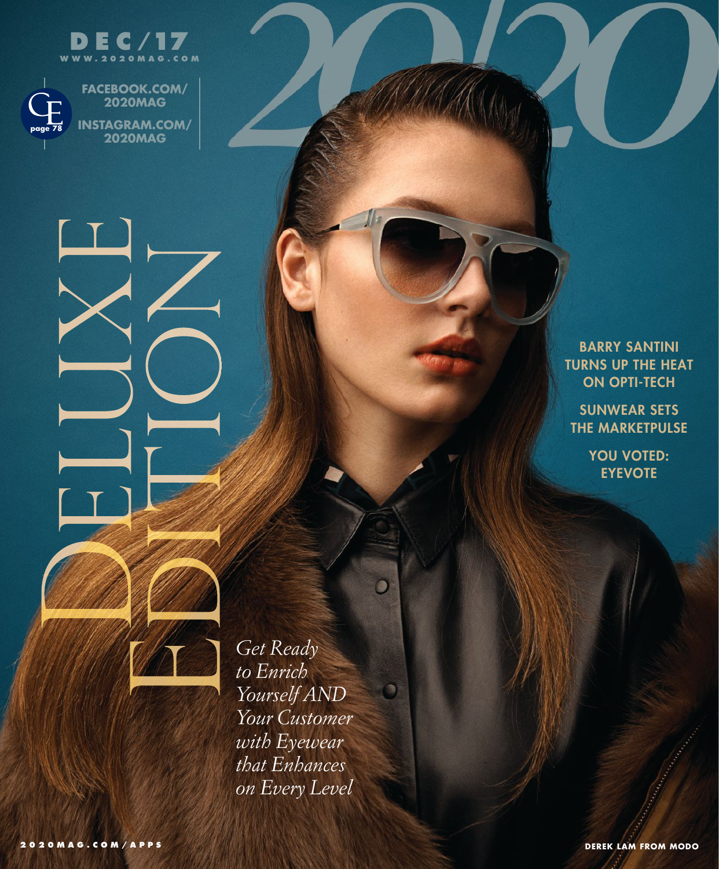



**FACEBOOK.COM/ 2020MAG INSTAGRAM.COM/ 2020MAG**

> **BARRY SANTINI TURNS UP THE HEAT ON OPTI-TECH**

**SUNWEAR SETS THE MARKETPULSE**

> **YOU VOTED: EYEVOTE**

*Get Ready to Enrich Yourself AND Your Customer with Eyewear that Enhances on Every Level*  O

۰